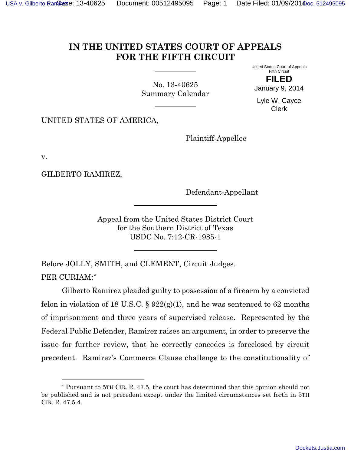## **IN THE UNITED STATES COURT OF APPEALS FOR THE FIFTH CIRCUIT**

<span id="page-0-1"></span>No. 13-40625 Summary Calendar United States Court of Appeals Fifth Circuit

**FILED**

January 9, 2014

Lyle W. Cayce Clerk

UNITED STATES OF AMERICA,

Plaintiff-Appellee

v.

GILBERTO RAMIREZ,

l

Defendant-Appellant

Appeal from the United States District Court for the Southern District of Texas USDC No. 7:12-CR-1985-1

Before JOLLY, SMITH, and CLEMENT, Circuit Judges. PER CURIAM:[\\*](#page-0-0)

Gilberto Ramirez pleaded guilty to possession of a firearm by a convicted felon in violation of 18 U.S.C.  $\S 922(g)(1)$ , and he was sentenced to 62 months of imprisonment and three years of supervised release. Represented by the Federal Public Defender, Ramirez raises an argument, in order to preserve the issue for further review, that he correctly concedes is foreclosed by circuit precedent. Ramirez's Commerce Clause challenge to the constitutionality of

<span id="page-0-0"></span><sup>\*</sup> Pursuant to 5TH CIR. R. 47.5, the court has determined that this opinion should not be published and is not precedent except under the limited circumstances set forth in 5TH CIR. R. 47.5.4.